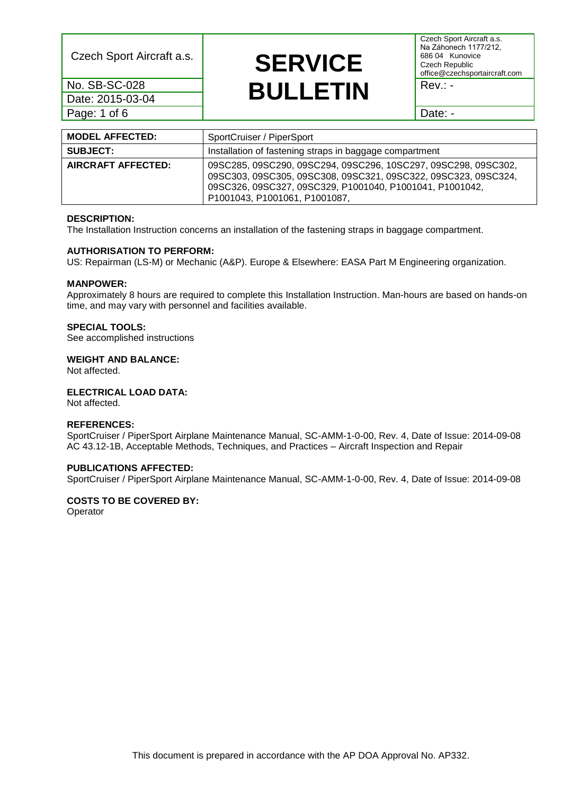Date: 2015-03-04 Page: 1 of 6 Date: -

## Czech Sport Aircraft a.s. **SERVICE** <u>No. SB-SC-028 **BULLETIN** Rev.: -</u>

Czech Sport Aircraft a.s. Na Záhonech 1177/212, 686 04 Kunovice Czech Republic office@czechsportaircraft.com

| <b>MODEL AFFECTED:</b>    | SportCruiser / PiperSport                                                                                                                                                                                                     |  |  |
|---------------------------|-------------------------------------------------------------------------------------------------------------------------------------------------------------------------------------------------------------------------------|--|--|
| <b>SUBJECT:</b>           | Installation of fastening straps in baggage compartment                                                                                                                                                                       |  |  |
| <b>AIRCRAFT AFFECTED:</b> | 09SC285, 09SC290, 09SC294, 09SC296, 10SC297, 09SC298, 09SC302,<br>09SC303, 09SC305, 09SC308, 09SC321, 09SC322, 09SC323, 09SC324,<br>09SC326, 09SC327, 09SC329, P1001040, P1001041, P1001042,<br>P1001043, P1001061, P1001087, |  |  |

#### **DESCRIPTION:**

The Installation Instruction concerns an installation of the fastening straps in baggage compartment.

#### **AUTHORISATION TO PERFORM:**

US: Repairman (LS-M) or Mechanic (A&P). Europe & Elsewhere: EASA Part M Engineering organization.

## **MANPOWER:**

Approximately 8 hours are required to complete this Installation Instruction. Man-hours are based on hands-on time, and may vary with personnel and facilities available.

## **SPECIAL TOOLS:**

See accomplished instructions

#### **WEIGHT AND BALANCE:**

Not affected.

### **ELECTRICAL LOAD DATA:**

Not affected.

## **REFERENCES:**

SportCruiser / PiperSport Airplane Maintenance Manual, SC-AMM-1-0-00, Rev. 4, Date of Issue: 2014-09-08 AC 43.12-1B, Acceptable Methods, Techniques, and Practices – Aircraft Inspection and Repair

## **PUBLICATIONS AFFECTED:**

SportCruiser / PiperSport Airplane Maintenance Manual, SC-AMM-1-0-00, Rev. 4, Date of Issue: 2014-09-08

## **COSTS TO BE COVERED BY:**

**Operator**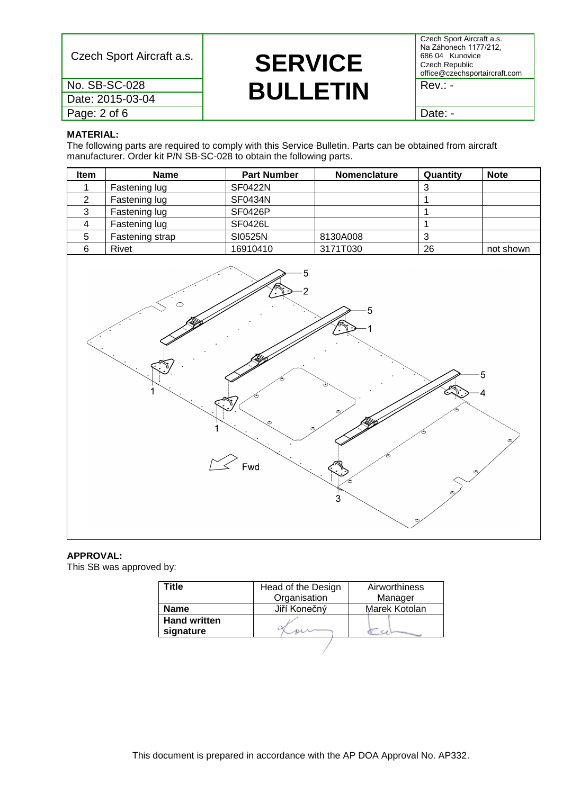Date: 2015-03-04

Page: 2 of 6 Date: -

# Czech Sport Aircraft a.s. **SERVICE** <u>No. SB-SC-028 **BULLETIN** Rev.: -</u>

Czech Sport Aircraft a.s. Na Záhonech 1177/212, 686 04 Kunovice Czech Republic office@czechsportaircraft.com

### **MATERIAL:**

The following parts are required to comply with this Service Bulletin. Parts can be obtained from aircraft manufacturer. Order kit P/N SB-SC-028 to obtain the following parts.

| Item | <b>Name</b>     | <b>Part Number</b> | <b>Nomenclature</b> | Quantity | <b>Note</b> |
|------|-----------------|--------------------|---------------------|----------|-------------|
|      | Fastening lug   | <b>SF0422N</b>     |                     | J        |             |
|      | Fastening lug   | SF0434N            |                     |          |             |
| ≏    | Fastening lug   | <b>SF0426P</b>     |                     |          |             |
|      | Fastening lug   | <b>SF0426L</b>     |                     |          |             |
| 5    | Fastening strap | SI0525N            | 8130A008            | ົ<br>ີ   |             |
| 6    | Rivet           | 16910410           | 3171T030            | 26       | not shown   |



## **APPROVAL:**

This SB was approved by:

| Γitle                            | Head of the Design | Airworthiness |  |
|----------------------------------|--------------------|---------------|--|
|                                  | Organisation       | Manager       |  |
| <b>Name</b>                      | Jiří Konečný       | Marek Kotolan |  |
| <b>Hand written</b><br>signature |                    |               |  |
|                                  |                    |               |  |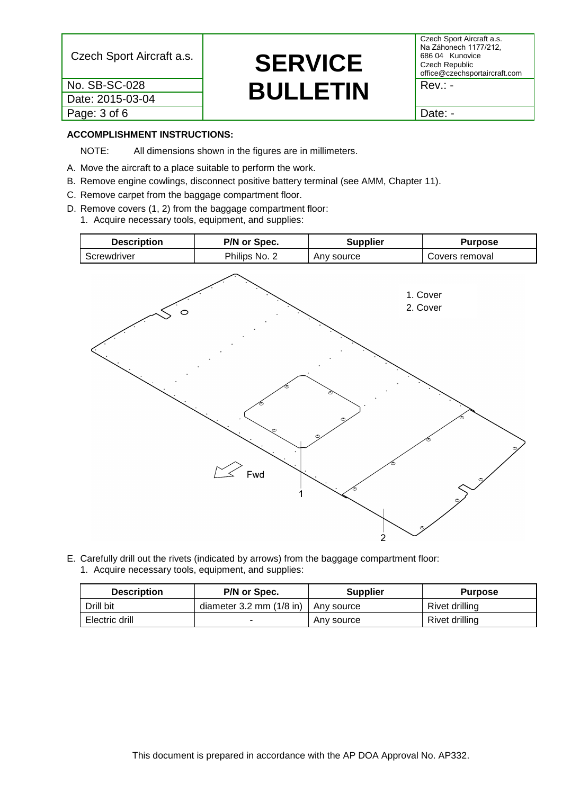Date: 2015-03-04 Page: 3 of 6 and 1 Date: -

# Czech Sport Aircraft a.s. **SERVICE** <u>No. SB-SC-028 **BULLETIN** Rev.: -</u>

Czech Sport Aircraft a.s. Na Záhonech 1177/212, 686 04 Kunovice Czech Republic office@czechsportaircraft.com

## **ACCOMPLISHMENT INSTRUCTIONS:**

NOTE: All dimensions shown in the figures are in millimeters.

- A. Move the aircraft to a place suitable to perform the work.
- B. Remove engine cowlings, disconnect positive battery terminal (see AMM, Chapter 11).
- C. Remove carpet from the baggage compartment floor.
- D. Remove covers (1, 2) from the baggage compartment floor: 1. Acquire necessary tools, equipment, and supplies:



E. Carefully drill out the rivets (indicated by arrows) from the baggage compartment floor: 1. Acquire necessary tools, equipment, and supplies:

| <b>Description</b> | P/N or Spec.                 | <b>Supplier</b> | <b>Purpose</b> |
|--------------------|------------------------------|-----------------|----------------|
| Drill bit          | diameter $3.2$ mm $(1/8$ in) | Any source      | Rivet drilling |
| Electric drill     | -                            | Any source      | Rivet drilling |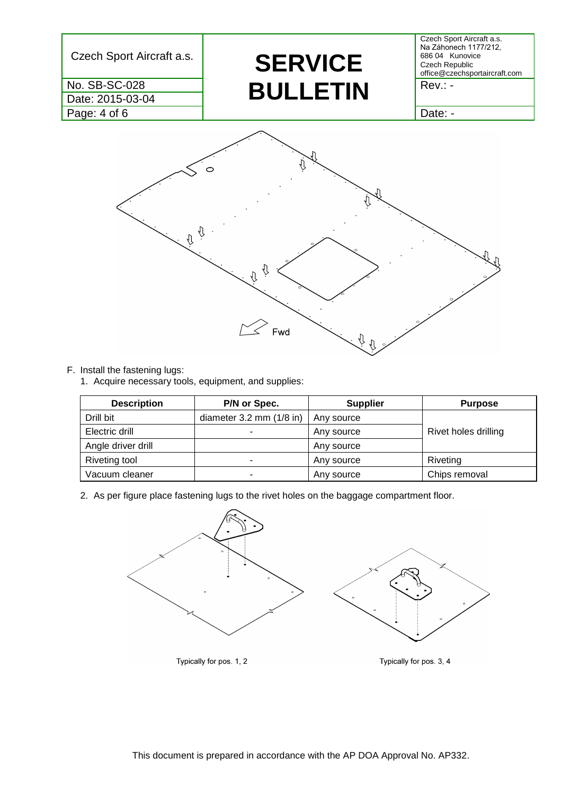![](_page_3_Figure_0.jpeg)

## F. Install the fastening lugs:

1. Acquire necessary tools, equipment, and supplies:

| <b>Description</b> | P/N or Spec.                 | <b>Supplier</b> | <b>Purpose</b>       |
|--------------------|------------------------------|-----------------|----------------------|
| Drill bit          | diameter $3.2$ mm $(1/8$ in) | Any source      |                      |
| Electric drill     |                              | Any source      | Rivet holes drilling |
| Angle driver drill |                              | Any source      |                      |
| Riveting tool      | ۰.                           | Any source      | Riveting             |
| Vacuum cleaner     | ۰                            | Any source      | Chips removal        |

2. As per figure place fastening lugs to the rivet holes on the baggage compartment floor.

![](_page_3_Figure_5.jpeg)

Typically for pos. 1, 2

Typically for pos. 3, 4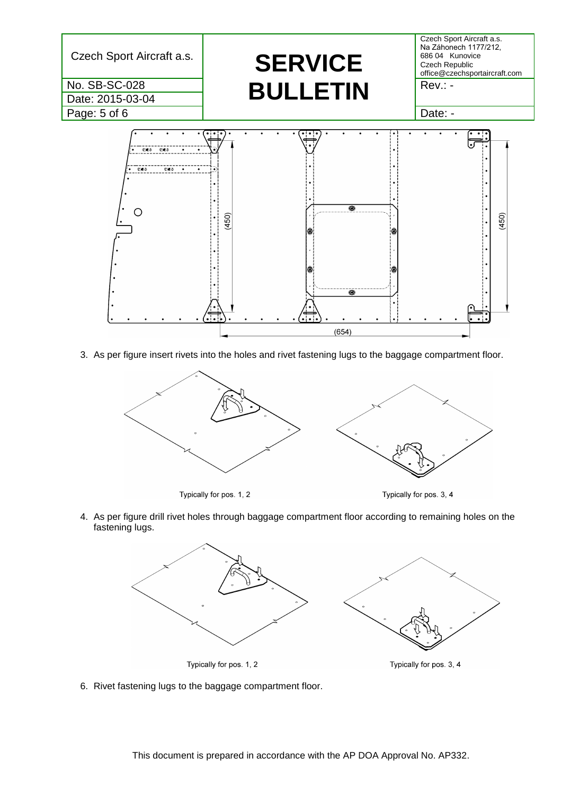![](_page_4_Figure_0.jpeg)

3. As per figure insert rivets into the holes and rivet fastening lugs to the baggage compartment floor.

![](_page_4_Figure_2.jpeg)

Typically for pos. 1, 2

Typically for pos. 3, 4

4. As per figure drill rivet holes through baggage compartment floor according to remaining holes on the fastening lugs.

![](_page_4_Figure_6.jpeg)

Typically for pos. 3, 4

6. Rivet fastening lugs to the baggage compartment floor.